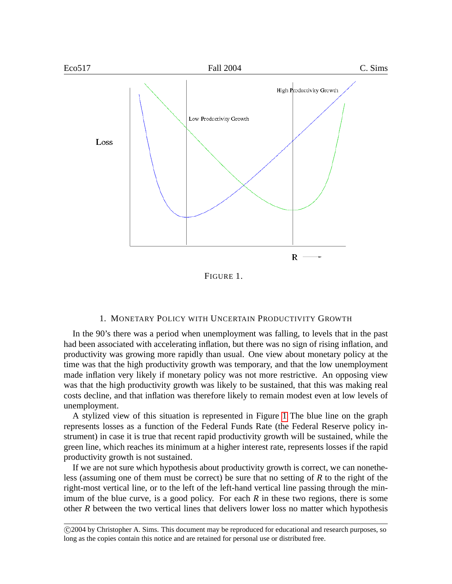

# <span id="page-0-0"></span>1. MONETARY POLICY WITH UNCERTAIN PRODUCTIVITY GROWTH

In the 90's there was a period when unemployment was falling, to levels that in the past had been associated with accelerating inflation, but there was no sign of rising inflation, and productivity was growing more rapidly than usual. One view about monetary policy at the time was that the high productivity growth was temporary, and that the low unemployment made inflation very likely if monetary policy was not more restrictive. An opposing view was that the high productivity growth was likely to be sustained, that this was making real costs decline, and that inflation was therefore likely to remain modest even at low levels of unemployment.

A stylized view of this situation is represented in Figure [1](#page-0-0) The blue line on the graph represents losses as a function of the Federal Funds Rate (the Federal Reserve policy instrument) in case it is true that recent rapid productivity growth will be sustained, while the green line, which reaches its minimum at a higher interest rate, represents losses if the rapid productivity growth is not sustained.

If we are not sure which hypothesis about productivity growth is correct, we can nonetheless (assuming one of them must be correct) be sure that no setting of *R* to the right of the right-most vertical line, or to the left of the left-hand vertical line passing through the minimum of the blue curve, is a good policy. For each *R* in these two regions, there is some other *R* between the two vertical lines that delivers lower loss no matter which hypothesis

 c 2004 by Christopher A. Sims. This document may be reproduced for educational and research purposes, so long as the copies contain this notice and are retained for personal use or distributed free.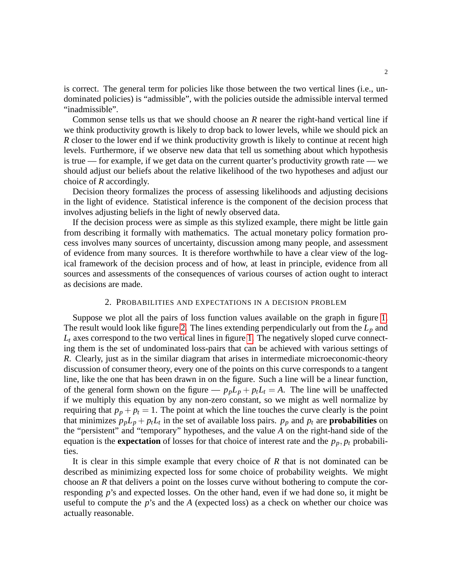is correct. The general term for policies like those between the two vertical lines (i.e., undominated policies) is "admissible", with the policies outside the admissible interval termed "inadmissible".

Common sense tells us that we should choose an *R* nearer the right-hand vertical line if we think productivity growth is likely to drop back to lower levels, while we should pick an *R* closer to the lower end if we think productivity growth is likely to continue at recent high levels. Furthermore, if we observe new data that tell us something about which hypothesis is true — for example, if we get data on the current quarter's productivity growth rate — we should adjust our beliefs about the relative likelihood of the two hypotheses and adjust our choice of *R* accordingly.

Decision theory formalizes the process of assessing likelihoods and adjusting decisions in the light of evidence. Statistical inference is the component of the decision process that involves adjusting beliefs in the light of newly observed data.

If the decision process were as simple as this stylized example, there might be little gain from describing it formally with mathematics. The actual monetary policy formation process involves many sources of uncertainty, discussion among many people, and assessment of evidence from many sources. It is therefore worthwhile to have a clear view of the logical framework of the decision process and of how, at least in principle, evidence from all sources and assessments of the consequences of various courses of action ought to interact as decisions are made.

# 2. PROBABILITIES AND EXPECTATIONS IN A DECISION PROBLEM

Suppose we plot all the pairs of loss function values available on the graph in figure [1.](#page-0-0) The result would look like figure [2.](#page-2-0) The lines extending perpendicularly out from the *L<sup>p</sup>* and  $L_t$  axes correspond to the two vertical lines in figure [1.](#page-0-0) The negatively sloped curve connecting them is the set of undominated loss-pairs that can be achieved with various settings of *R*. Clearly, just as in the similar diagram that arises in intermediate microeconomic-theory discussion of consumer theory, every one of the points on this curve corresponds to a tangent line, like the one that has been drawn in on the figure. Such a line will be a linear function, of the general form shown on the figure —  $p_p L_p + p_t L_t = A$ . The line will be unaffected if we multiply this equation by any non-zero constant, so we might as well normalize by requiring that  $p_p + p_t = 1$ . The point at which the line touches the curve clearly is the point that minimizes  $p_p L_p + p_t L_t$  in the set of available loss pairs.  $p_p$  and  $p_t$  are **probabilities** on the "persistent" and "temporary" hypotheses, and the value *A* on the right-hand side of the equation is the **expectation** of losses for that choice of interest rate and the  $p_p$ ,  $p_t$  probabilities.

It is clear in this simple example that every choice of *R* that is not dominated can be described as minimizing expected loss for some choice of probability weights. We might choose an *R* that delivers a point on the losses curve without bothering to compute the corresponding *p*'s and expected losses. On the other hand, even if we had done so, it might be useful to compute the *p*'s and the *A* (expected loss) as a check on whether our choice was actually reasonable.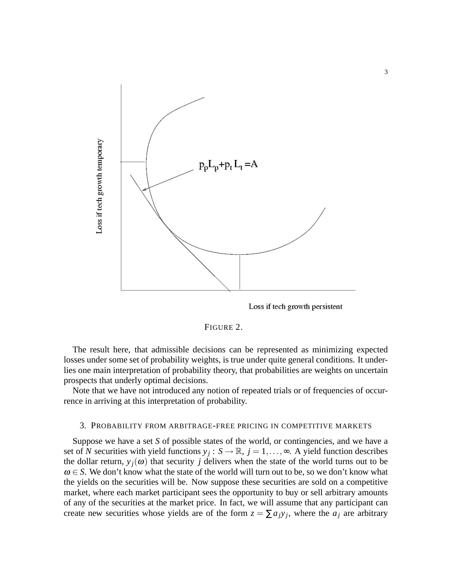

<span id="page-2-0"></span>Loss if tech growth persistent



The result here, that admissible decisions can be represented as minimizing expected losses under some set of probability weights, is true under quite general conditions. It underlies one main interpretation of probability theory, that probabilities are weights on uncertain prospects that underly optimal decisions.

Note that we have not introduced any notion of repeated trials or of frequencies of occurrence in arriving at this interpretation of probability.

### <span id="page-2-1"></span>3. PROBABILITY FROM ARBITRAGE-FREE PRICING IN COMPETITIVE MARKETS

Suppose we have a set *S* of possible states of the world, or contingencies, and we have a set of N securities with yield functions  $y_j : S \to \mathbb{R}$ ,  $j = 1, ..., \infty$ . A yield function describes the dollar return,  $y_i(\omega)$  that security *j* delivers when the state of the world turns out to be  $\omega \in S$ . We don't know what the state of the world will turn out to be, so we don't know what the yields on the securities will be. Now suppose these securities are sold on a competitive market, where each market participant sees the opportunity to buy or sell arbitrary amounts of any of the securities at the market price. In fact, we will assume that any participant can create new securities whose yields are of the form  $z = \sum a_j y_j$ , where the  $a_j$  are arbitrary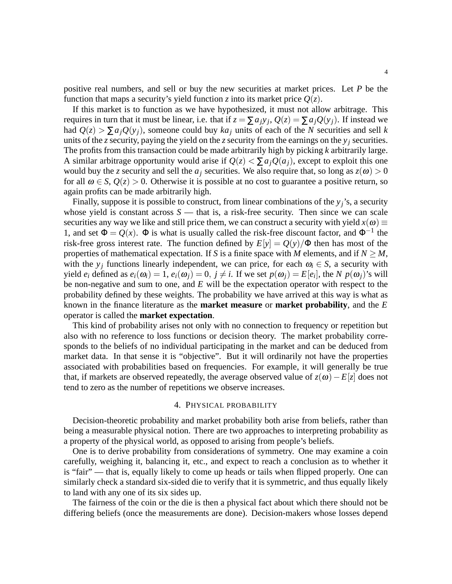positive real numbers, and sell or buy the new securities at market prices. Let *P* be the function that maps a security's yield function *z* into its market price  $Q(z)$ .

If this market is to function as we have hypothesized, it must not allow arbitrage. This requires in turn that it must be linear, i.e. that if  $z = \sum a_j y_j$ ,  $Q(z) = \sum a_j Q(y_j)$ . If instead we had  $Q(z) > \sum a_i Q(y_i)$ , someone could buy  $ka_i$  units of each of the *N* securities and sell *k* units of the *z* security, paying the yield on the *z* security from the earnings on the  $y_i$  securities. The profits from this transaction could be made arbitrarily high by picking *k* arbitrarily large. A similar arbitrage opportunity would arise if  $Q(z) < \sum a_i Q(a_i)$ , except to exploit this one would buy the *z* security and sell the  $a_j$  securities. We also require that, so long as  $z(\omega) > 0$ for all  $\omega \in S$ ,  $Q(z) > 0$ . Otherwise it is possible at no cost to guarantee a positive return, so again profits can be made arbitrarily high.

Finally, suppose it is possible to construct, from linear combinations of the  $y_j$ 's, a security whose yield is constant across  $S$  — that is, a risk-free security. Then since we can scale securities any way we like and still price them, we can construct a security with yield  $x(\omega) \equiv$ 1, and set  $\Phi = Q(x)$ .  $\Phi$  is what is usually called the risk-free discount factor, and  $\Phi^{-1}$  the risk-free gross interest rate. The function defined by  $E[y] = Q(y)/\Phi$  then has most of the properties of mathematical expectation. If *S* is a finite space with *M* elements, and if  $N \ge M$ , with the  $y_j$  functions linearly independent, we can price, for each  $\omega_i \in S$ , a security with yield  $e_i$  defined as  $e_i(\omega_i) = 1$ ,  $e_i(\omega_j) = 0$ ,  $j \neq i$ . If we set  $p(\omega_j) = E[e_i]$ , the *N*  $p(\omega_j)$ 's will be non-negative and sum to one, and *E* will be the expectation operator with respect to the probability defined by these weights. The probability we have arrived at this way is what as known in the finance literature as the **market measure** or **market probability**, and the *E* operator is called the **market expectation**.

This kind of probability arises not only with no connection to frequency or repetition but also with no reference to loss functions or decision theory. The market probability corresponds to the beliefs of no individual participating in the market and can be deduced from market data. In that sense it is "objective". But it will ordinarily not have the properties associated with probabilities based on frequencies. For example, it will generally be true that, if markets are observed repeatedly, the average observed value of  $z(\omega) - E[z]$  does not tend to zero as the number of repetitions we observe increases.

### 4. PHYSICAL PROBABILITY

Decision-theoretic probability and market probability both arise from beliefs, rather than being a measurable physical notion. There are two approaches to interpreting probability as a property of the physical world, as opposed to arising from people's beliefs.

One is to derive probability from considerations of symmetry. One may examine a coin carefully, weighing it, balancing it, etc., and expect to reach a conclusion as to whether it is "fair" — that is, equally likely to come up heads or tails when flipped properly. One can similarly check a standard six-sided die to verify that it is symmetric, and thus equally likely to land with any one of its six sides up.

The fairness of the coin or the die is then a physical fact about which there should not be differing beliefs (once the measurements are done). Decision-makers whose losses depend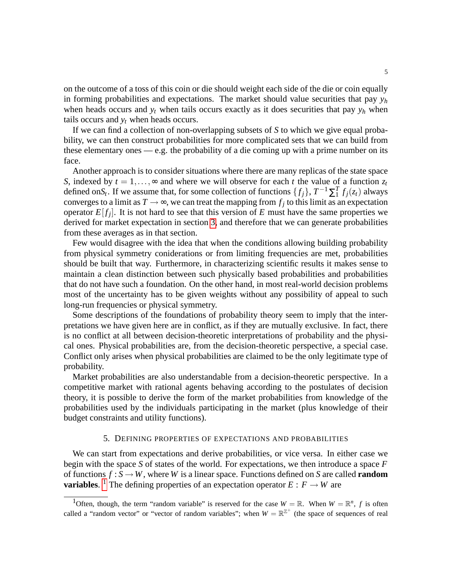on the outcome of a toss of this coin or die should weight each side of the die or coin equally in forming probabilities and expectations. The market should value securities that pay  $y_h$ when heads occurs and  $y_t$  when tails occurs exactly as it does securities that pay  $y_h$  when tails occurs and  $y_t$  when heads occurs.

If we can find a collection of non-overlapping subsets of *S* to which we give equal probability, we can then construct probabilities for more complicated sets that we can build from these elementary ones — e.g. the probability of a die coming up with a prime number on its face.

Another approach is to consider situations where there are many replicas of the state space *S*, indexed by  $t = 1, \ldots, \infty$  and where we will observe for each *t* the value of a function  $z_t$ defined on $S_t$ . If we assume that, for some collection of functions  $\{f_j\}$ ,  $T^{-1}\sum_{i=1}^{T}f_j(z_t)$  always converges to a limit as  $T \rightarrow \infty$ , we can treat the mapping from  $f_j$  to this limit as an expectation operator  $E[f_j]$ . It is not hard to see that this version of  $E$  must have the same properties we derived for market expectation in section [3,](#page-2-1) and therefore that we can generate probabilities from these averages as in that section.

Few would disagree with the idea that when the conditions allowing building probability from physical symmetry coniderations or from limiting frequencies are met, probabilities should be built that way. Furthermore, in characterizing scientific results it makes sense to maintain a clean distinction between such physically based probabilities and probabilities that do not have such a foundation. On the other hand, in most real-world decision problems most of the uncertainty has to be given weights without any possibility of appeal to such long-run frequencies or physical symmetry.

Some descriptions of the foundations of probability theory seem to imply that the interpretations we have given here are in conflict, as if they are mutually exclusive. In fact, there is no conflict at all between decision-theoretic interpretations of probability and the physical ones. Physical probabilities are, from the decision-theoretic perspective, a special case. Conflict only arises when physical probabilities are claimed to be the only legitimate type of probability.

Market probabilities are also understandable from a decision-theoretic perspective. In a competitive market with rational agents behaving according to the postulates of decision theory, it is possible to derive the form of the market probabilities from knowledge of the probabilities used by the individuals participating in the market (plus knowledge of their budget constraints and utility functions).

# 5. DEFINING PROPERTIES OF EXPECTATIONS AND PROBABILITIES

We can start from expectations and derive probabilities, or vice versa. In either case we begin with the space *S* of states of the world. For expectations, we then introduce a space *F* of functions  $f : S \to W$ , where *W* is a linear space. Functions defined on *S* are called **random variables.** <sup>[1](#page-4-0)</sup> The defining properties of an expectation operator  $E: F \to W$  are

<span id="page-4-0"></span><sup>&</sup>lt;sup>1</sup>Often, though, the term "random variable" is reserved for the case  $W = \mathbb{R}$ . When  $W = \mathbb{R}^n$ , f is often called a "random vector" or "vector of random variables"; when  $W = \mathbb{R}^{\mathbb{Z}^+}$  (the space of sequences of real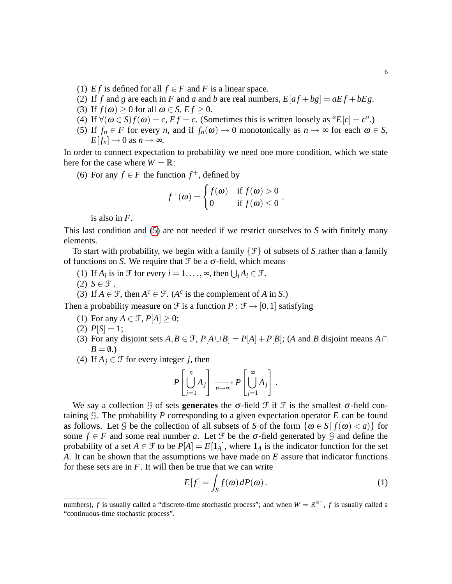- (1) *Ef* is defined for all  $f \in F$  and *F* is a linear space.
- (2) If *f* and *g* are each in *F* and *a* and *b* are real numbers,  $E[af+bg] = aEf + bEg$ .
- (3) If  $f(\omega) \ge 0$  for all  $\omega \in S$ ,  $Ef \ge 0$ .
- (4) If  $\forall (\omega \in S) f(\omega) = c$ ,  $Ef = c$ . (Sometimes this is written loosely as " $E[c] = c$ ".)
- <span id="page-5-0"></span>(5) If  $f_n \in F$  for every *n*, and if  $f_n(\omega) \to 0$  monotonically as  $n \to \infty$  for each  $\omega \in S$ ,  $E[f_n] \to 0$  as  $n \to \infty$ .

In order to connect expectation to probability we need one more condition, which we state here for the case where  $W = \mathbb{R}$ :

(6) For any  $f \in F$  the function  $f^+$ , defined by

$$
f^+(\omega) = \begin{cases} f(\omega) & \text{if } f(\omega) > 0 \\ 0 & \text{if } f(\omega) \le 0 \end{cases}
$$

is also in *F*.

This last condition and [\(5\)](#page-5-0) are not needed if we restrict ourselves to *S* with finitely many elements.

To start with probability, we begin with a family {F} of subsets of *S* rather than a family of functions on *S*. We require that  $\mathcal F$  be a  $\sigma$ -field, which means

- (1) If  $A_i$  is in  $\mathcal{F}$  for every  $i = 1, ..., \infty$ , then  $\bigcup_i A_i \in \mathcal{F}$ .
- $(2)$   $S \in \mathcal{F}$ .
- (3) If  $A \in \mathcal{F}$ , then  $A^c \in \mathcal{F}$ . ( $A^c$  is the complement of *A* in *S*.)

Then a probability measure on  $\mathcal F$  is a function  $P : \mathcal F \to [0,1]$  satisfying

- (1) For any  $A \in \mathcal{F}$ ,  $P[A] \geq 0$ ;
- (2)  $P[S] = 1;$
- (3) For any disjoint sets  $A, B \in \mathcal{F}$ ,  $P[A \cup B] = P[A] + P[B]$ ; (*A* and *B* disjoint means  $A \cap$  $B = \emptyset.$
- (4) If  $A_j \in \mathcal{F}$  for every integer *j*, then

$$
P\left[\bigcup_{j=1}^n A_j\right] \xrightarrow[n \to \infty]{} P\left[\bigcup_{j=1}^\infty A_j\right].
$$

We say a collection G of sets **generates** the  $\sigma$ -field  $\mathcal F$  if  $\mathcal F$  is the smallest  $\sigma$ -field containing G. The probability *P* corresponding to a given expectation operator *E* can be found as follows. Let G be the collection of all subsets of S of the form  $\{\omega \in S | f(\omega) < a\}$  for some  $f \in F$  and some real number *a*. Let  $\mathcal F$  be the  $\sigma$ -field generated by  $\mathcal G$  and define the probability of a set  $A \in \mathcal{F}$  to be  $P[A] = E[\mathbf{1}_A]$ , where  $\mathbf{1}_A$  is the indicator function for the set *A*. It can be shown that the assumptions we have made on *E* assure that indicator functions for these sets are in *F*. It will then be true that we can write

<span id="page-5-1"></span>
$$
E[f] = \int_{S} f(\omega) dP(\omega).
$$
 (1)

numbers), *f* is usually called a "discrete-time stochastic process"; and when  $W = \mathbb{R}^{\mathbb{R}^+}$ , *f* is usually called a "continuous-time stochastic process".